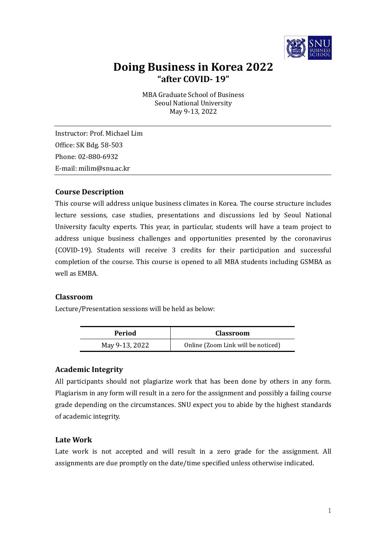

# **Doing Business in Korea 2022 "after COVID- 19"**

MBA Graduate School of Business Seoul National University May 9-13, 2022

Instructor: Prof. Michael Lim Office: SK Bdg. 58-503 Phone: 02-880-6932 E-mail: milim@snu.ac.kr

## **Course Description**

This course will address unique business climates in Korea. The course structure includes lecture sessions, case studies, presentations and discussions led by Seoul National University faculty experts. This year, in particular, students will have a team project to address unique business challenges and opportunities presented by the coronavirus (COVID-19). Students will receive 3 credits for their participation and successful completion of the course. This course is opened to all MBA students including GSMBA as well as EMBA.

## **Classroom**

Lecture/Presentation sessions will be held as below:

| Period         | <b>Classroom</b>                   |
|----------------|------------------------------------|
| May 9-13, 2022 | Online (Zoom Link will be noticed) |

## **Academic Integrity**

All participants should not plagiarize work that has been done by others in any form. Plagiarism in any form will result in a zero for the assignment and possibly a failing course grade depending on the circumstances. SNU expect you to abide by the highest standards of academic integrity.

## **Late Work**

Late work is not accepted and will result in a zero grade for the assignment. All assignments are due promptly on the date/time specified unless otherwise indicated.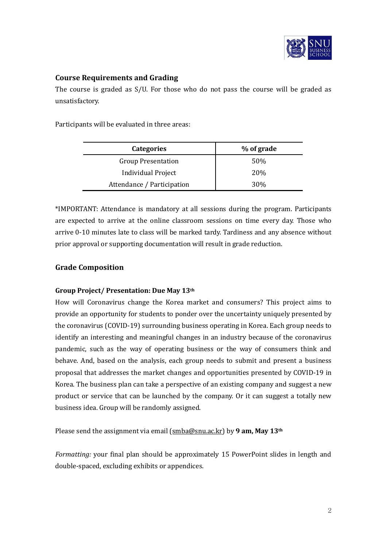

# **Course Requirements and Grading**

The course is graded as S/U. For those who do not pass the course will be graded as unsatisfactory.

Participants will be evaluated in three areas:

| <b>Categories</b>          | % of grade      |
|----------------------------|-----------------|
| <b>Group Presentation</b>  | 50%             |
| <b>Individual Project</b>  | <b>20%</b>      |
| Attendance / Participation | 30 <sub>%</sub> |

\*IMPORTANT: Attendance is mandatory at all sessions during the program. Participants are expected to arrive at the online classroom sessions on time every day. Those who arrive 0-10 minutes late to class will be marked tardy. Tardiness and any absence without prior approval or supporting documentation will result in grade reduction.

# **Grade Composition**

## **Group Project/ Presentation: Due May 13th**

How will Coronavirus change the Korea market and consumers? This project aims to provide an opportunity for students to ponder over the uncertainty uniquely presented by the coronavirus (COVID-19) surrounding business operating in Korea. Each group needs to identify an interesting and meaningful changes in an industry because of the coronavirus pandemic, such as the way of operating business or the way of consumers think and behave. And, based on the analysis, each group needs to submit and present a business proposal that addresses the market changes and opportunities presented by COVID-19 in Korea. The business plan can take a perspective of an existing company and suggest a new product or service that can be launched by the company. Or it can suggest a totally new business idea. Group will be randomly assigned.

Please send the assignment via email ([smba@snu.ac.kr\)](mailto:mba@snu.ac.kr) by **9 am, May 13th**

*Formatting:* your final plan should be approximately 15 PowerPoint slides in length and double-spaced, excluding exhibits or appendices.